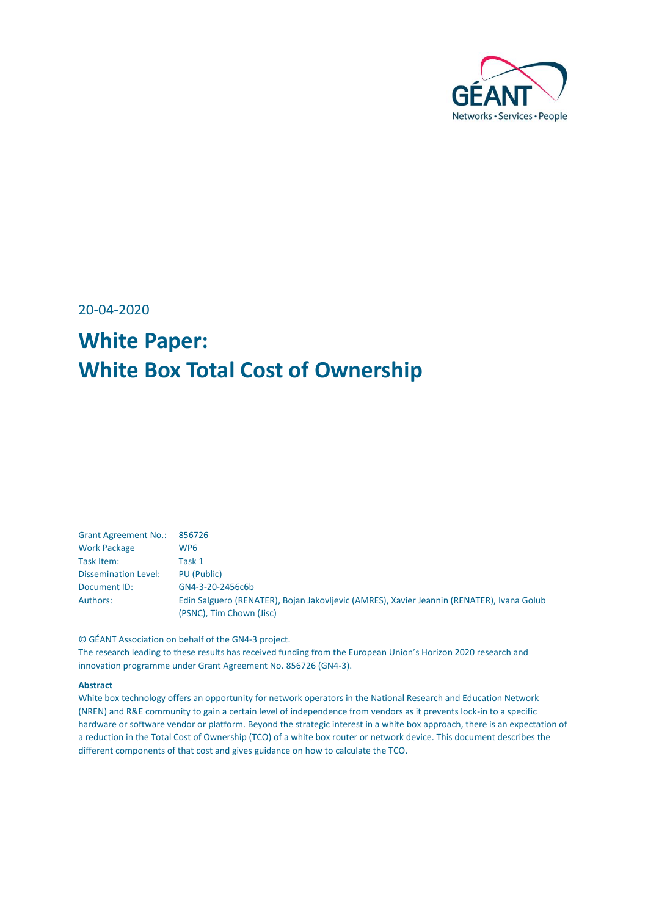

20-04-2020

# **White Paper: White Box Total Cost of Ownership**

| <b>Grant Agreement No.:</b> | 856726                                                                                                                |
|-----------------------------|-----------------------------------------------------------------------------------------------------------------------|
| <b>Work Package</b>         | WP <sub>6</sub>                                                                                                       |
| Task Item:                  | Task 1                                                                                                                |
| <b>Dissemination Level:</b> | PU (Public)                                                                                                           |
| Document ID:                | GN4-3-20-2456c6b                                                                                                      |
| Authors:                    | Edin Salguero (RENATER), Bojan Jakovljevic (AMRES), Xavier Jeannin (RENATER), Ivana Golub<br>(PSNC), Tim Chown (Jisc) |

© GÉANT Association on behalf of the GN4-3 project.

The research leading to these results has received funding from the European Union's Horizon 2020 research and innovation programme under Grant Agreement No. 856726 (GN4-3).

#### **Abstract**

White box technology offers an opportunity for network operators in the National Research and Education Network (NREN) and R&E community to gain a certain level of independence from vendors as it prevents lock-in to a specific hardware or software vendor or platform. Beyond the strategic interest in a white box approach, there is an expectation of a reduction in the Total Cost of Ownership (TCO) of a white box router or network device. This document describes the different components of that cost and gives guidance on how to calculate the TCO.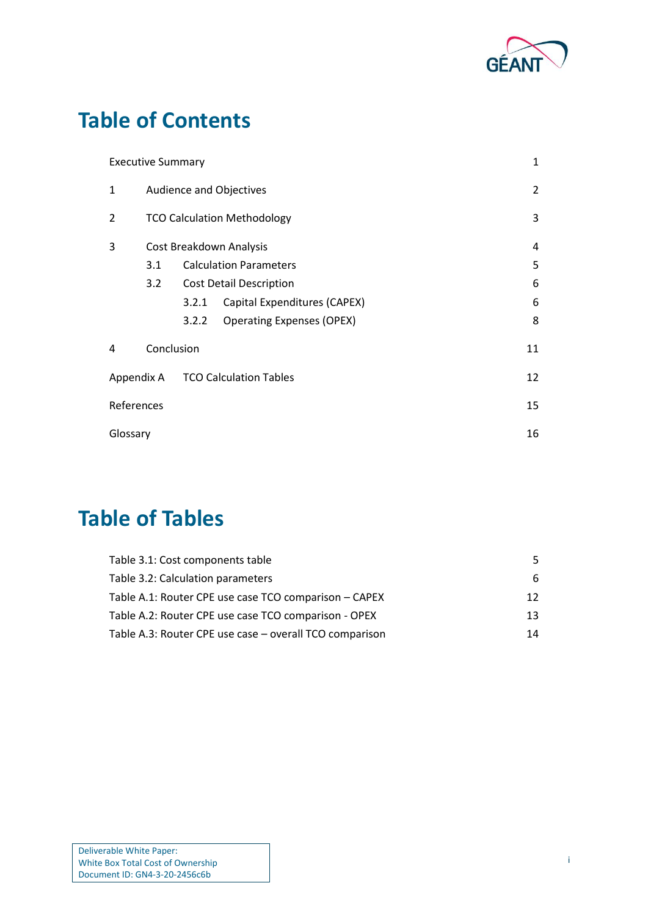

# **Table of Contents**

|                                             | <b>Executive Summary</b> |                                |                                    |    |  |  |
|---------------------------------------------|--------------------------|--------------------------------|------------------------------------|----|--|--|
| $\mathbf{1}$                                | Audience and Objectives  |                                |                                    |    |  |  |
| 2                                           |                          |                                | <b>TCO Calculation Methodology</b> | 3  |  |  |
| 3                                           |                          |                                | Cost Breakdown Analysis            | 4  |  |  |
|                                             | 3.1                      | <b>Calculation Parameters</b>  |                                    |    |  |  |
|                                             | 3.2                      | <b>Cost Detail Description</b> |                                    |    |  |  |
|                                             |                          | 3.2.1                          | Capital Expenditures (CAPEX)       | 6  |  |  |
|                                             |                          | 3.2.2                          | <b>Operating Expenses (OPEX)</b>   | 8  |  |  |
| 4                                           | Conclusion<br>11         |                                |                                    |    |  |  |
| <b>TCO Calculation Tables</b><br>Appendix A |                          |                                |                                    | 12 |  |  |
| References                                  |                          |                                |                                    |    |  |  |
| Glossary                                    |                          |                                |                                    |    |  |  |

## **Table of Tables**

| Table 3.1: Cost components table                        | 5.              |
|---------------------------------------------------------|-----------------|
| Table 3.2: Calculation parameters                       | 6               |
| Table A.1: Router CPE use case TCO comparison – CAPEX   | 12 <sup>°</sup> |
| Table A.2: Router CPE use case TCO comparison - OPEX    | 13.             |
| Table A.3: Router CPE use case - overall TCO comparison | 14              |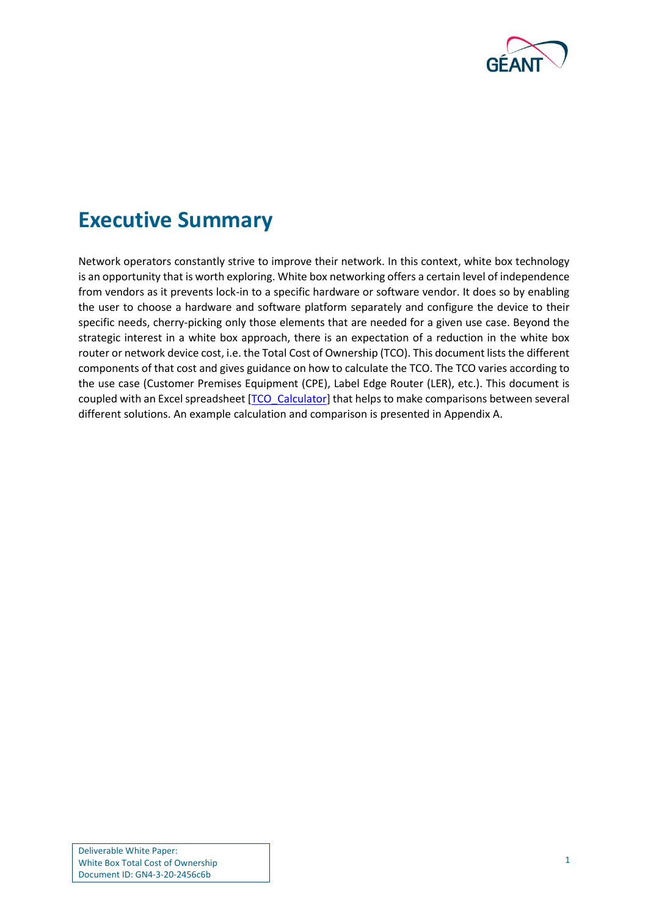

### <span id="page-2-0"></span>**Executive Summary**

Network operators constantly strive to improve their network. In this context, white box technology is an opportunity that is worth exploring. White box networking offers a certain level of independence from vendors as it prevents lock-in to a specific hardware or software vendor. It does so by enabling the user to choose a hardware and software platform separately and configure the device to their specific needs, cherry-picking only those elements that are needed for a given use case. Beyond the strategic interest in a white box approach, there is an expectation of a reduction in the white box router or network device cost, i.e. the Total Cost of Ownership (TCO). This document lists the different components of that cost and gives guidance on how to calculate the TCO. The TCO varies according to the use case (Customer Premises Equipment (CPE), Label Edge Router (LER), etc.). This document is coupled with an Excel spreadsheet [\[TCO\\_Calculator\]](#page-16-1) that helps to make comparisons between several different solutions. An example calculation and comparison is presented in [Appendix A.](#page-13-0)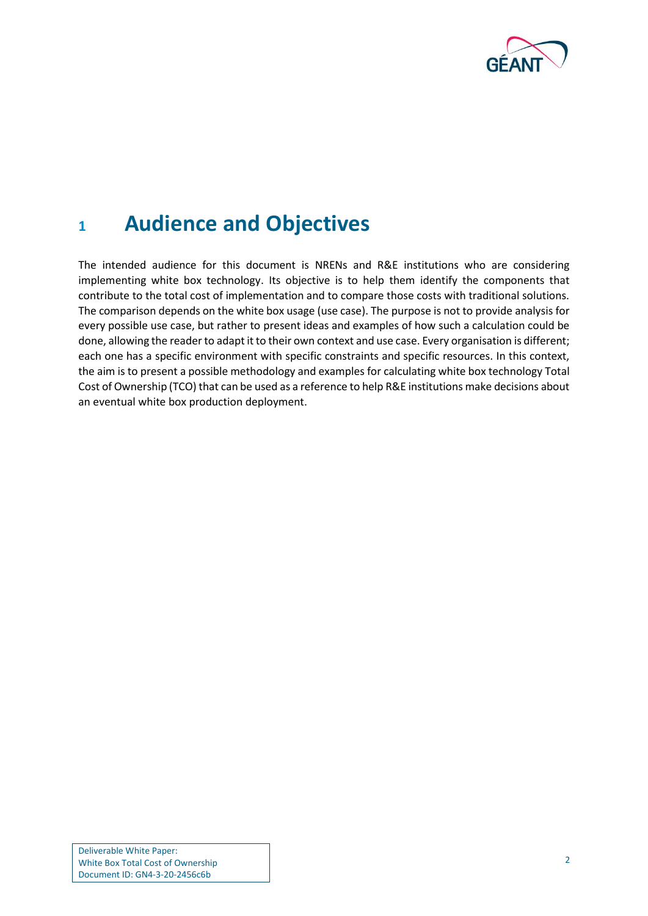

### <span id="page-3-0"></span>**<sup>1</sup> Audience and Objectives**

The intended audience for this document is NRENs and R&E institutions who are considering implementing white box technology. Its objective is to help them identify the components that contribute to the total cost of implementation and to compare those costs with traditional solutions. The comparison depends on the white box usage (use case). The purpose is not to provide analysis for every possible use case, but rather to present ideas and examples of how such a calculation could be done, allowing the reader to adapt it to their own context and use case. Every organisation is different; each one has a specific environment with specific constraints and specific resources. In this context, the aim is to present a possible methodology and examples for calculating white box technology Total Cost of Ownership (TCO) that can be used as a reference to help R&E institutions make decisions about an eventual white box production deployment.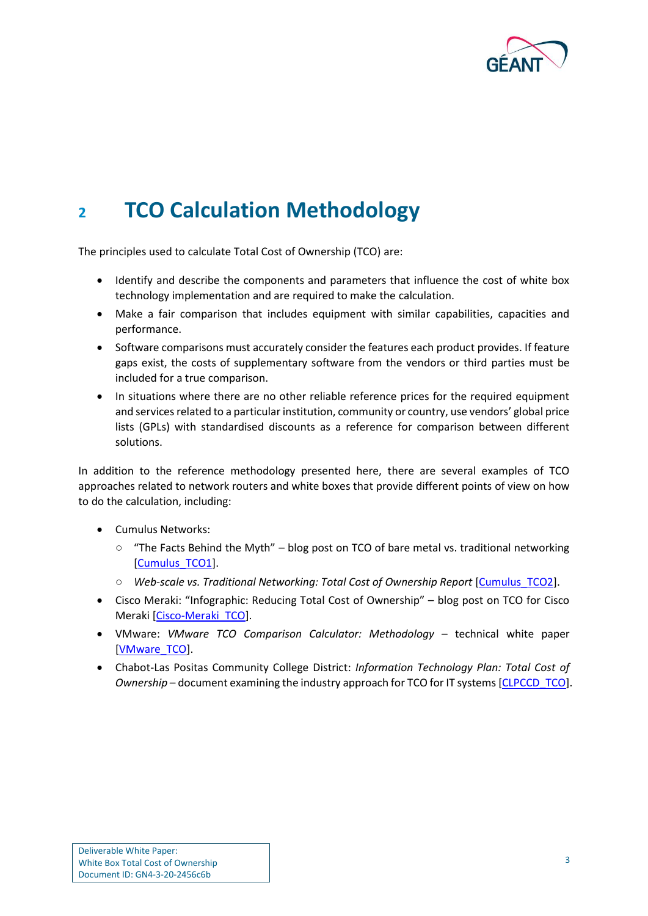

## <span id="page-4-0"></span>**<sup>2</sup> TCO Calculation Methodology**

The principles used to calculate Total Cost of Ownership (TCO) are:

- Identify and describe the components and parameters that influence the cost of white box technology implementation and are required to make the calculation.
- Make a fair comparison that includes equipment with similar capabilities, capacities and performance.
- Software comparisons must accurately consider the features each product provides. If feature gaps exist, the costs of supplementary software from the vendors or third parties must be included for a true comparison.
- In situations where there are no other reliable reference prices for the required equipment and services related to a particular institution, community or country, use vendors' global price lists (GPLs) with standardised discounts as a reference for comparison between different solutions.

In addition to the reference methodology presented here, there are several examples of TCO approaches related to network routers and white boxes that provide different points of view on how to do the calculation, including:

- Cumulus Networks:
	- "The Facts Behind the Myth" blog post on TCO of bare metal vs. traditional networking [\[Cumulus\\_TCO1\]](#page-16-2).
	- *Web-scale vs. Traditional Networking: Total Cost of Ownership Report* [\[Cumulus\\_TCO2\]](#page-16-3).
- Cisco Meraki: "Infographic: Reducing Total Cost of Ownership" blog post on TCO for Cisco Meraki [\[Cisco-Meraki\\_TCO\]](#page-16-4).
- VMware: *VMware TCO Comparison Calculator: Methodology* technical white paper [\[VMware\\_TCO\]](#page-16-5).
- Chabot-Las Positas Community College District: *Information Technology Plan: Total Cost of Ownership* – document examining the industry approach for TCO for IT systems [\[CLPCCD\\_TCO\]](#page-16-6).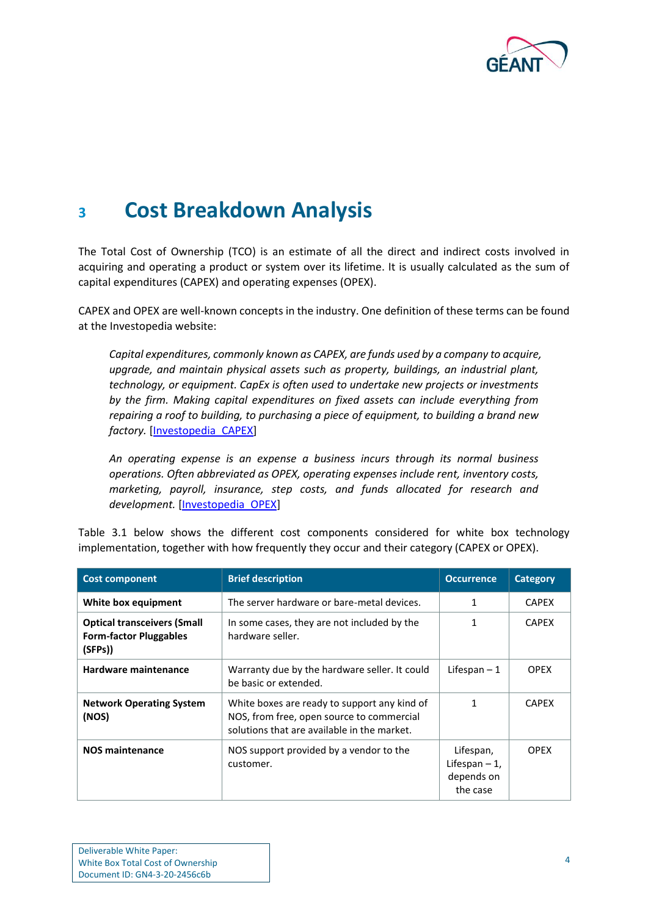

### <span id="page-5-0"></span>**<sup>3</sup> Cost Breakdown Analysis**

The Total Cost of Ownership (TCO) is an estimate of all the direct and indirect costs involved in acquiring and operating a product or system over its lifetime. It is usually calculated as the sum of capital expenditures (CAPEX) and operating expenses (OPEX).

CAPEX and OPEX are well-known concepts in the industry. One definition of these terms can be found at the Investopedia website:

*Capital expenditures, commonly known as CAPEX, are funds used by a company to acquire, upgrade, and maintain physical assets such as property, buildings, an industrial plant, technology, or equipment. CapEx is often used to undertake new projects or investments by the firm. Making capital expenditures on fixed assets can include everything from repairing a roof to building, to purchasing a piece of equipment, to building a brand new factory.* [\[Investopedia\\_CAPEX\]](#page-16-7)

*An operating expense is an expense a business incurs through its normal business operations. Often abbreviated as OPEX, operating expenses include rent, inventory costs, marketing, payroll, insurance, step costs, and funds allocated for research and development.* [\[Investopedia\\_OPEX\]](#page-16-8)

[Table 3.1](#page-6-1) below shows the different cost components considered for white box technology implementation, together with how frequently they occur and their category (CAPEX or OPEX).

| <b>Cost component</b>                                                         | <b>Brief description</b>                                                                                                                 | <b>Occurrence</b>                                      | <b>Category</b> |
|-------------------------------------------------------------------------------|------------------------------------------------------------------------------------------------------------------------------------------|--------------------------------------------------------|-----------------|
| White box equipment                                                           | The server hardware or bare-metal devices.                                                                                               |                                                        | <b>CAPEX</b>    |
| <b>Optical transceivers (Small</b><br><b>Form-factor Pluggables</b><br>(SFPs) | In some cases, they are not included by the<br>hardware seller.                                                                          |                                                        | <b>CAPEX</b>    |
| Hardware maintenance                                                          | Warranty due by the hardware seller. It could<br>be basic or extended.                                                                   | Lifespan $-1$                                          | <b>OPEX</b>     |
| <b>Network Operating System</b><br>(NOS)                                      | White boxes are ready to support any kind of<br>NOS, from free, open source to commercial<br>solutions that are available in the market. |                                                        | <b>CAPEX</b>    |
| <b>NOS maintenance</b>                                                        | NOS support provided by a vendor to the<br>customer.                                                                                     | Lifespan,<br>Lifespan $-1$ ,<br>depends on<br>the case | <b>OPEX</b>     |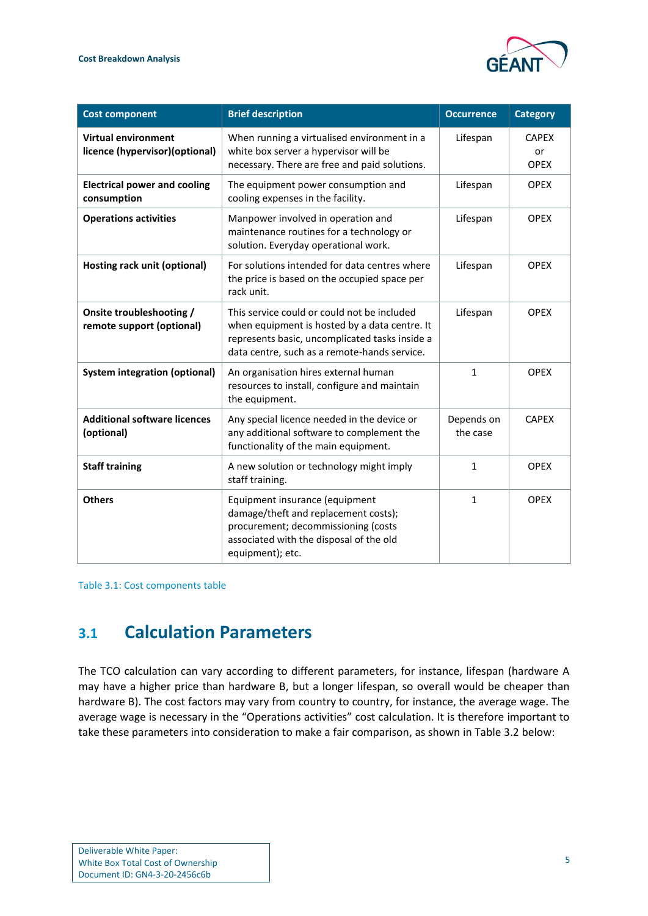

| <b>Cost component</b>                                        | <b>Brief description</b>                                                                                                                                                                       | <b>Occurrence</b>      | <b>Category</b>                   |
|--------------------------------------------------------------|------------------------------------------------------------------------------------------------------------------------------------------------------------------------------------------------|------------------------|-----------------------------------|
| <b>Virtual environment</b><br>licence (hypervisor)(optional) | When running a virtualised environment in a<br>white box server a hypervisor will be<br>necessary. There are free and paid solutions.                                                          | Lifespan               | <b>CAPEX</b><br>or<br><b>OPEX</b> |
| <b>Electrical power and cooling</b><br>consumption           | The equipment power consumption and<br>cooling expenses in the facility.                                                                                                                       | Lifespan               | <b>OPEX</b>                       |
| <b>Operations activities</b>                                 | Manpower involved in operation and<br>maintenance routines for a technology or<br>solution. Everyday operational work.                                                                         | Lifespan               | <b>OPEX</b>                       |
| Hosting rack unit (optional)                                 | For solutions intended for data centres where<br>the price is based on the occupied space per<br>rack unit.                                                                                    | Lifespan               | <b>OPEX</b>                       |
| Onsite troubleshooting /<br>remote support (optional)        | This service could or could not be included<br>when equipment is hosted by a data centre. It<br>represents basic, uncomplicated tasks inside a<br>data centre, such as a remote-hands service. | Lifespan               | <b>OPEX</b>                       |
| <b>System integration (optional)</b>                         | An organisation hires external human<br>resources to install, configure and maintain<br>the equipment.                                                                                         | $\mathbf 1$            | <b>OPEX</b>                       |
| <b>Additional software licences</b><br>(optional)            | Any special licence needed in the device or<br>any additional software to complement the<br>functionality of the main equipment.                                                               | Depends on<br>the case | <b>CAPEX</b>                      |
| <b>Staff training</b>                                        | A new solution or technology might imply<br>staff training.                                                                                                                                    | 1                      | <b>OPEX</b>                       |
| <b>Others</b>                                                | Equipment insurance (equipment<br>damage/theft and replacement costs);<br>procurement; decommissioning (costs<br>associated with the disposal of the old<br>equipment); etc.                   | 1                      | <b>OPEX</b>                       |

<span id="page-6-1"></span>Table 3.1: Cost components table

### <span id="page-6-0"></span>**3.1 Calculation Parameters**

The TCO calculation can vary according to different parameters, for instance, lifespan (hardware A may have a higher price than hardware B, but a longer lifespan, so overall would be cheaper than hardware B). The cost factors may vary from country to country, for instance, the average wage. The average wage is necessary in the "Operations activities" cost calculation. It is therefore important to take these parameters into consideration to make a fair comparison, as shown in [Table 3.2](#page-7-2) below: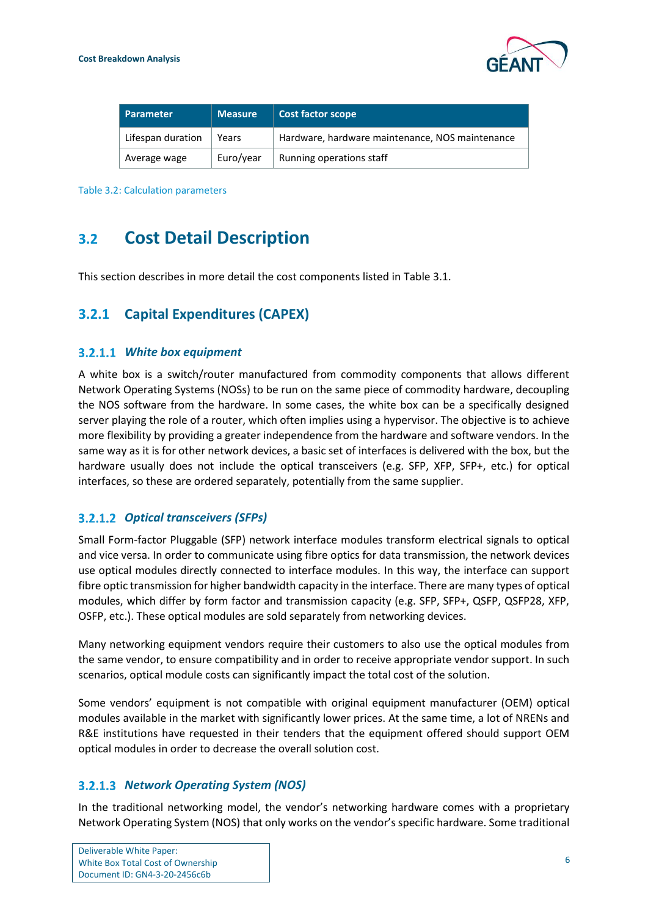

| l Parameter       | <b>Measure</b> | Cost factor scope                               |
|-------------------|----------------|-------------------------------------------------|
| Lifespan duration | Years          | Hardware, hardware maintenance, NOS maintenance |
| Average wage      | Euro/year      | Running operations staff                        |

<span id="page-7-2"></span>Table 3.2: Calculation parameters

### <span id="page-7-0"></span>**3.2 Cost Detail Description**

This section describes in more detail the cost components listed in [Table 3.1.](#page-6-1)

#### <span id="page-7-1"></span>**3.2.1 Capital Expenditures (CAPEX)**

#### *White box equipment*

A white box is a switch/router manufactured from commodity components that allows different Network Operating Systems (NOSs) to be run on the same piece of commodity hardware, decoupling the NOS software from the hardware. In some cases, the white box can be a specifically designed server playing the role of a router, which often implies using a hypervisor. The objective is to achieve more flexibility by providing a greater independence from the hardware and software vendors. In the same way as it is for other network devices, a basic set of interfaces is delivered with the box, but the hardware usually does not include the optical transceivers (e.g. SFP, XFP, SFP+, etc.) for optical interfaces, so these are ordered separately, potentially from the same supplier.

#### *Optical transceivers (SFPs)*

Small Form-factor Pluggable (SFP) network interface modules transform electrical signals to optical and vice versa. In order to communicate using fibre optics for data transmission, the network devices use optical modules directly connected to interface modules. In this way, the interface can support fibre optic transmission for higher bandwidth capacity in the interface. There are many types of optical modules, which differ by form factor and transmission capacity (e.g. SFP, SFP+, QSFP, QSFP28, XFP, OSFP, etc.). These optical modules are sold separately from networking devices.

Many networking equipment vendors require their customers to also use the optical modules from the same vendor, to ensure compatibility and in order to receive appropriate vendor support. In such scenarios, optical module costs can significantly impact the total cost of the solution.

Some vendors' equipment is not compatible with original equipment manufacturer (OEM) optical modules available in the market with significantly lower prices. At the same time, a lot of NRENs and R&E institutions have requested in their tenders that the equipment offered should support OEM optical modules in order to decrease the overall solution cost.

#### *Network Operating System (NOS)*

In the traditional networking model, the vendor's networking hardware comes with a proprietary Network Operating System (NOS) that only works on the vendor's specific hardware. Some traditional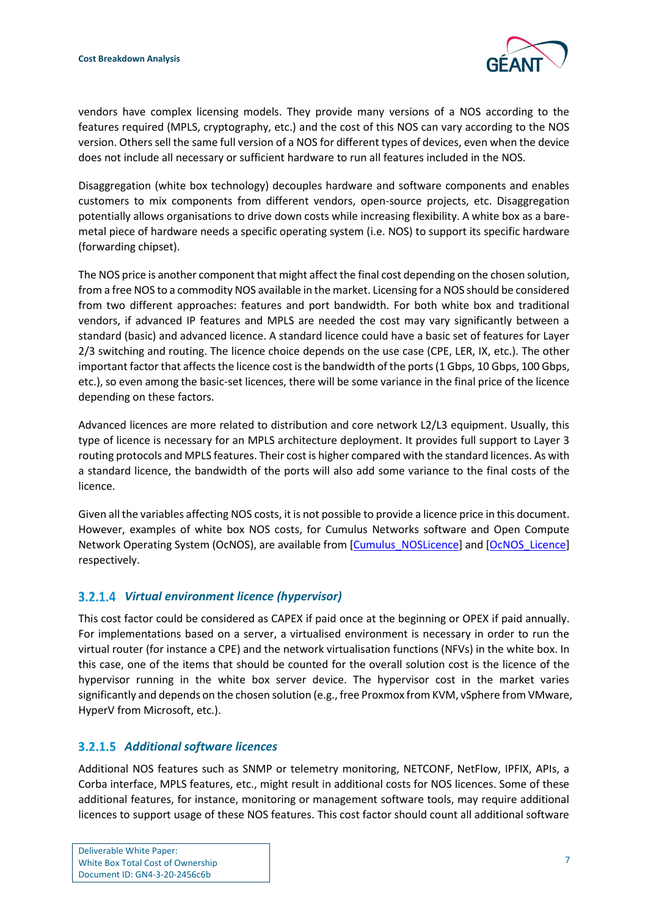

vendors have complex licensing models. They provide many versions of a NOS according to the features required (MPLS, cryptography, etc.) and the cost of this NOS can vary according to the NOS version. Others sell the same full version of a NOS for different types of devices, even when the device does not include all necessary or sufficient hardware to run all features included in the NOS.

Disaggregation (white box technology) decouples hardware and software components and enables customers to mix components from different vendors, open-source projects, etc. Disaggregation potentially allows organisations to drive down costs while increasing flexibility. A white box as a baremetal piece of hardware needs a specific operating system (i.e. NOS) to support its specific hardware (forwarding chipset).

The NOS price is another component that might affect the final cost depending on the chosen solution, from a free NOS to a commodity NOS available in the market. Licensing for a NOS should be considered from two different approaches: features and port bandwidth. For both white box and traditional vendors, if advanced IP features and MPLS are needed the cost may vary significantly between a standard (basic) and advanced licence. A standard licence could have a basic set of features for Layer 2/3 switching and routing. The licence choice depends on the use case (CPE, LER, IX, etc.). The other important factor that affects the licence cost is the bandwidth of the ports (1 Gbps, 10 Gbps, 100 Gbps, etc.), so even among the basic-set licences, there will be some variance in the final price of the licence depending on these factors.

Advanced licences are more related to distribution and core network L2/L3 equipment. Usually, this type of licence is necessary for an MPLS architecture deployment. It provides full support to Layer 3 routing protocols and MPLS features. Their cost is higher compared with the standard licences. As with a standard licence, the bandwidth of the ports will also add some variance to the final costs of the licence.

Given all the variables affecting NOS costs, it is not possible to provide a licence price in this document. However, examples of white box NOS costs, for Cumulus Networks software and Open Compute Network Operating System (OcNOS), are available from [\[Cumulus\\_NOSLicence\]](#page-16-9) and [\[OcNOS\\_Licence\]](#page-16-10) respectively.

#### *Virtual environment licence (hypervisor)*

This cost factor could be considered as CAPEX if paid once at the beginning or OPEX if paid annually. For implementations based on a server, a virtualised environment is necessary in order to run the virtual router (for instance a CPE) and the network virtualisation functions (NFVs) in the white box. In this case, one of the items that should be counted for the overall solution cost is the licence of the hypervisor running in the white box server device. The hypervisor cost in the market varies significantly and depends on the chosen solution (e.g., free Proxmox from KVM, vSphere from VMware, HyperV from Microsoft, etc.).

#### *Additional software licences*

Additional NOS features such as SNMP or telemetry monitoring, NETCONF, NetFlow, IPFIX, APIs, a Corba interface, MPLS features, etc., might result in additional costs for NOS licences. Some of these additional features, for instance, monitoring or management software tools, may require additional licences to support usage of these NOS features. This cost factor should count all additional software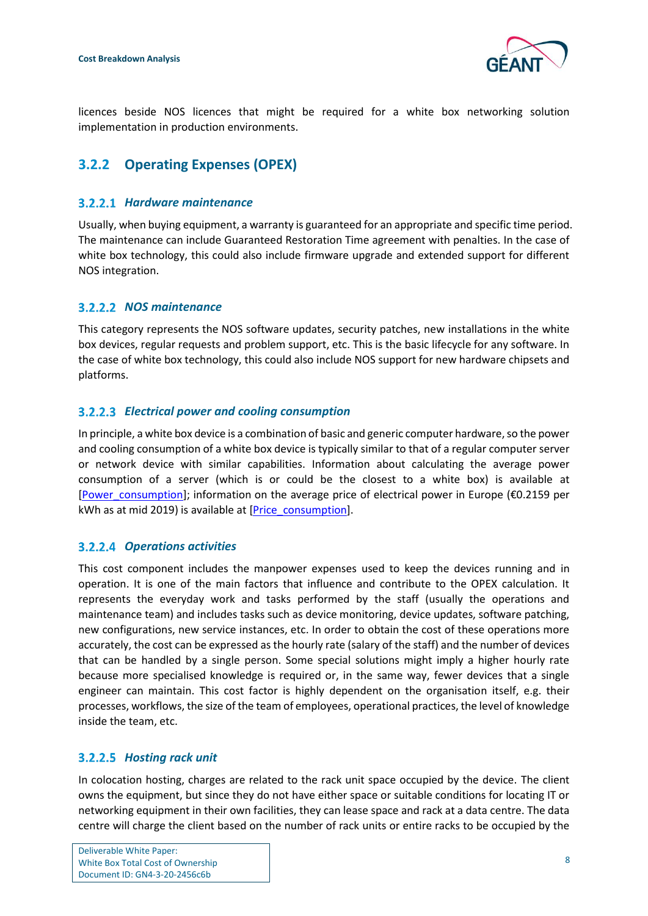

licences beside NOS licences that might be required for a white box networking solution implementation in production environments.

### <span id="page-9-0"></span>**3.2.2 Operating Expenses (OPEX)**

#### *Hardware maintenance*

Usually, when buying equipment, a warranty is guaranteed for an appropriate and specific time period. The maintenance can include Guaranteed Restoration Time agreement with penalties. In the case of white box technology, this could also include firmware upgrade and extended support for different NOS integration.

#### *NOS maintenance*

This category represents the NOS software updates, security patches, new installations in the white box devices, regular requests and problem support, etc. This is the basic lifecycle for any software. In the case of white box technology, this could also include NOS support for new hardware chipsets and platforms.

#### *Electrical power and cooling consumption*

In principle, a white box device is a combination of basic and generic computer hardware, so the power and cooling consumption of a white box device is typically similar to that of a regular computer server or network device with similar capabilities. Information about calculating the average power consumption of a server (which is or could be the closest to a white box) is available at [\[Power\\_consumption\]](#page-16-11); information on the average price of electrical power in Europe ( $€0.2159$  per kWh as at mid 2019) is available at [\[Price\\_consumption\]](#page-16-12).

#### *Operations activities*

This cost component includes the manpower expenses used to keep the devices running and in operation. It is one of the main factors that influence and contribute to the OPEX calculation. It represents the everyday work and tasks performed by the staff (usually the operations and maintenance team) and includes tasks such as device monitoring, device updates, software patching, new configurations, new service instances, etc. In order to obtain the cost of these operations more accurately, the cost can be expressed as the hourly rate (salary of the staff) and the number of devices that can be handled by a single person. Some special solutions might imply a higher hourly rate because more specialised knowledge is required or, in the same way, fewer devices that a single engineer can maintain. This cost factor is highly dependent on the organisation itself, e.g. their processes, workflows, the size of the team of employees, operational practices, the level of knowledge inside the team, etc.

#### *Hosting rack unit*

In colocation hosting, charges are related to the rack unit space occupied by the device. The client owns the equipment, but since they do not have either space or suitable conditions for locating IT or networking equipment in their own facilities, they can lease space and rack at a data centre. The data centre will charge the client based on the number of rack units or entire racks to be occupied by the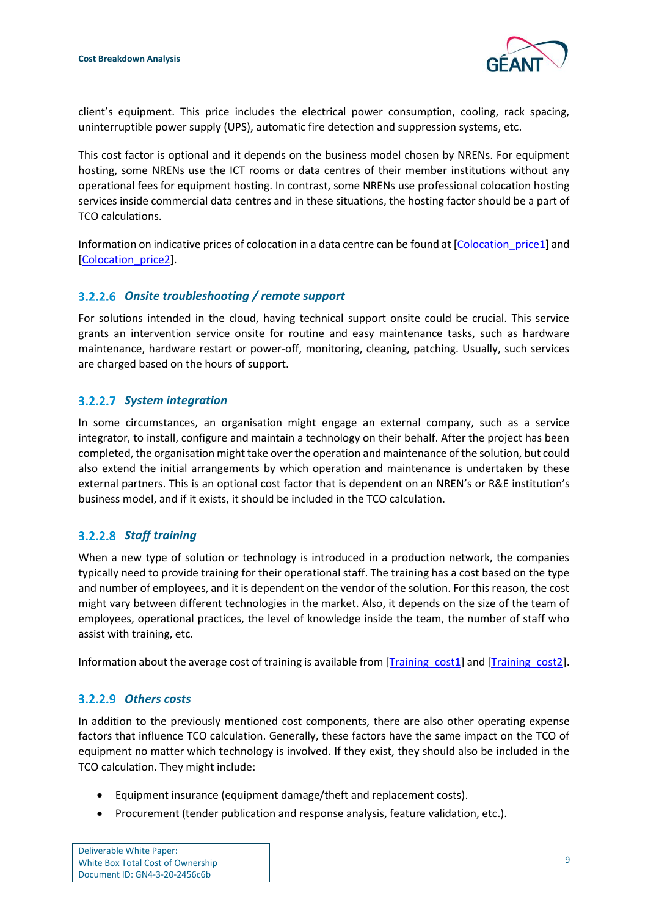

client's equipment. This price includes the electrical power consumption, cooling, rack spacing, uninterruptible power supply (UPS), automatic fire detection and suppression systems, etc.

This cost factor is optional and it depends on the business model chosen by NRENs. For equipment hosting, some NRENs use the ICT rooms or data centres of their member institutions without any operational fees for equipment hosting. In contrast, some NRENs use professional colocation hosting services inside commercial data centres and in these situations, the hosting factor should be a part of TCO calculations.

Information on indicative prices of colocation in a data centre can be found at [Colocation price1] and [\[Colocation\\_price2\]](#page-16-14).

#### *Onsite troubleshooting / remote support*

For solutions intended in the cloud, having technical support onsite could be crucial. This service grants an intervention service onsite for routine and easy maintenance tasks, such as hardware maintenance, hardware restart or power-off, monitoring, cleaning, patching. Usually, such services are charged based on the hours of support.

#### *System integration*

In some circumstances, an organisation might engage an external company, such as a service integrator, to install, configure and maintain a technology on their behalf. After the project has been completed, the organisation might take over the operation and maintenance of the solution, but could also extend the initial arrangements by which operation and maintenance is undertaken by these external partners. This is an optional cost factor that is dependent on an NREN's or R&E institution's business model, and if it exists, it should be included in the TCO calculation.

#### *Staff training*

When a new type of solution or technology is introduced in a production network, the companies typically need to provide training for their operational staff. The training has a cost based on the type and number of employees, and it is dependent on the vendor of the solution. For this reason, the cost might vary between different technologies in the market. Also, it depends on the size of the team of employees, operational practices, the level of knowledge inside the team, the number of staff who assist with training, etc.

Information about the average cost of training is available from [\[Training\\_cost1\]](#page-16-15) and [\[Training\\_cost2\]](#page-16-16).

#### *Others costs*

In addition to the previously mentioned cost components, there are also other operating expense factors that influence TCO calculation. Generally, these factors have the same impact on the TCO of equipment no matter which technology is involved. If they exist, they should also be included in the TCO calculation. They might include:

- Equipment insurance (equipment damage/theft and replacement costs).
- Procurement (tender publication and response analysis, feature validation, etc.).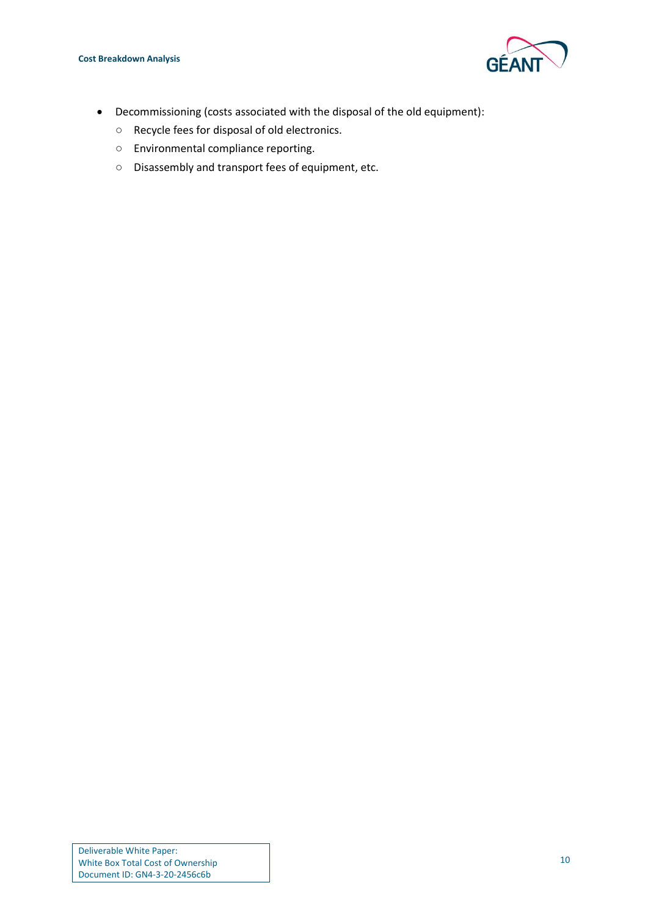

- Decommissioning (costs associated with the disposal of the old equipment):
	- Recycle fees for disposal of old electronics.
	- Environmental compliance reporting.
	- Disassembly and transport fees of equipment, etc.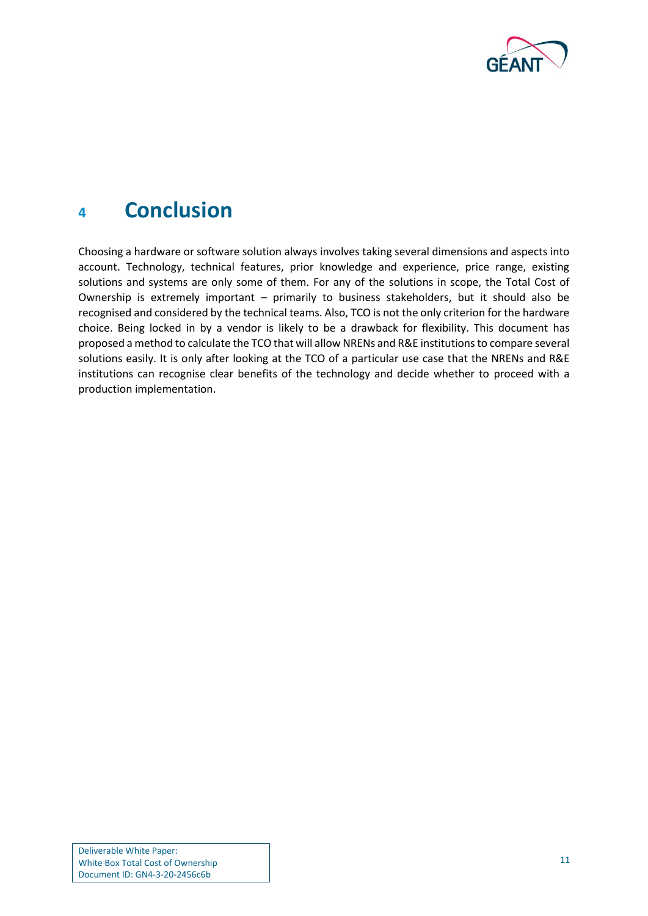

### <span id="page-12-0"></span>**<sup>4</sup> Conclusion**

Choosing a hardware or software solution always involves taking several dimensions and aspects into account. Technology, technical features, prior knowledge and experience, price range, existing solutions and systems are only some of them. For any of the solutions in scope, the Total Cost of Ownership is extremely important – primarily to business stakeholders, but it should also be recognised and considered by the technical teams. Also, TCO is not the only criterion for the hardware choice. Being locked in by a vendor is likely to be a drawback for flexibility. This document has proposed a method to calculate the TCO that will allow NRENs and R&E institutions to compare several solutions easily. It is only after looking at the TCO of a particular use case that the NRENs and R&E institutions can recognise clear benefits of the technology and decide whether to proceed with a production implementation.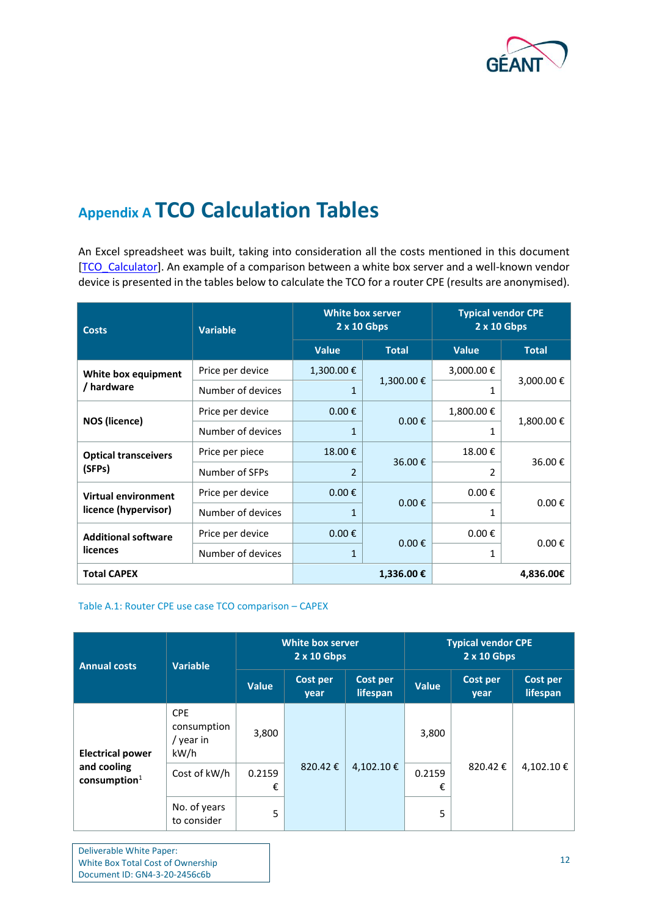

## <span id="page-13-0"></span>**Appendix A TCO Calculation Tables**

An Excel spreadsheet was built, taking into consideration all the costs mentioned in this document [\[TCO\\_Calculator\]](#page-16-1). An example of a comparison between a white box server and a well-known vendor device is presented in the tables below to calculate the TCO for a router CPE (results are anonymised).

| <b>Costs</b>                | <b>Variable</b>   |                     | <b>White box server</b><br>2 x 10 Gbps |                     | <b>Typical vendor CPE</b><br>$2 \times 10$ Gbps |  |
|-----------------------------|-------------------|---------------------|----------------------------------------|---------------------|-------------------------------------------------|--|
|                             |                   | <b>Value</b>        | <b>Total</b>                           | <b>Value</b>        | <b>Total</b>                                    |  |
| White box equipment         | Price per device  | 1,300.00€           |                                        | 3,000.00€           |                                                 |  |
| / hardware                  | Number of devices |                     | 1,300.00€                              | 1                   | 3,000.00 €                                      |  |
|                             | Price per device  | $0.00 \epsilon$     | $0.00 \text{ } \in$                    | 1,800.00€           | 1,800.00€                                       |  |
| <b>NOS (licence)</b>        | Number of devices | 1                   |                                        | 1                   |                                                 |  |
| <b>Optical transceivers</b> | Price per piece   | 18.00€              | 36.00€                                 | 18.00€              | 36.00€                                          |  |
| (SFPs)                      | Number of SFPs    | $\mathcal{P}$       |                                        | 2                   |                                                 |  |
| <b>Virtual environment</b>  | Price per device  | $0.00 \text{ } \in$ | $0.00 \text{ } \in$                    | $0.00 \text{ } \in$ |                                                 |  |
| licence (hypervisor)        | Number of devices | 1                   |                                        | 1                   | $0.00 \text{ } \in$                             |  |
| <b>Additional software</b>  | Price per device  | $0.00 \in$          | $0.00 \text{ } \in$                    | $0.00 \in$          |                                                 |  |
| licences                    | Number of devices | 1                   |                                        | 1                   | $0.00 \text{ } \in$                             |  |
| <b>Total CAPEX</b>          |                   |                     | 1,336.00€                              |                     | 4,836.00€                                       |  |

#### <span id="page-13-1"></span>Table A.1: Router CPE use case TCO comparison – CAPEX

| <b>Annual costs</b>                     | <b>Variable</b>                                |              |                  | <b>White box server</b><br>$2 \times 10$ Gbps |              | <b>Typical vendor CPE</b><br>$2 \times 10$ Gbps |                      |  |
|-----------------------------------------|------------------------------------------------|--------------|------------------|-----------------------------------------------|--------------|-------------------------------------------------|----------------------|--|
|                                         |                                                | <b>Value</b> | Cost per<br>year | Cost per<br>lifespan                          | <b>Value</b> | Cost per<br>year                                | Cost per<br>lifespan |  |
| <b>Electrical power</b>                 | <b>CPE</b><br>consumption<br>/ year in<br>kW/h | 3,800        | 820.42€          | 4,102.10€                                     | 3,800        | 820.42€                                         | 4,102.10€            |  |
| and cooling<br>$\mathbf{consumption}^1$ | Cost of kW/h                                   | 0.2159<br>€  |                  |                                               | 0.2159<br>€  |                                                 |                      |  |
|                                         | No. of years<br>to consider                    | 5            |                  |                                               | 5            |                                                 |                      |  |

Deliverable White Paper: White Box Total Cost of Ownership Document ID: GN4-3-20-2456c6b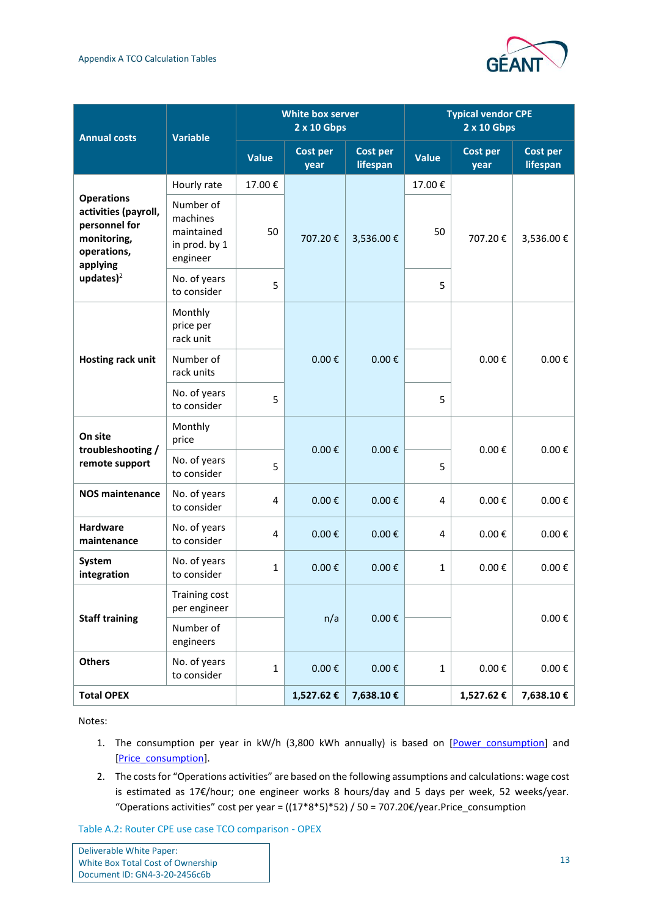

| <b>Annual costs</b>                                                                                  | <b>Variable</b>                                                  | <b>White box server</b><br>2 x 10 Gbps |                         |                             |              | <b>Typical vendor CPE</b><br>2 x 10 Gbps |                             |
|------------------------------------------------------------------------------------------------------|------------------------------------------------------------------|----------------------------------------|-------------------------|-----------------------------|--------------|------------------------------------------|-----------------------------|
|                                                                                                      |                                                                  | <b>Value</b>                           | <b>Cost per</b><br>year | <b>Cost per</b><br>lifespan | <b>Value</b> | <b>Cost per</b><br>year                  | <b>Cost per</b><br>lifespan |
|                                                                                                      | Hourly rate                                                      | 17.00€                                 |                         |                             | 17.00€       |                                          |                             |
| <b>Operations</b><br>activities (payroll,<br>personnel for<br>monitoring,<br>operations,<br>applying | Number of<br>machines<br>maintained<br>in prod. by 1<br>engineer | 50                                     | 707.20€                 | 3,536.00€                   | 50           | 707.20€                                  | 3,536.00€                   |
| updates $)^2$                                                                                        | No. of years<br>to consider                                      | 5                                      |                         |                             | 5            |                                          |                             |
|                                                                                                      | Monthly<br>price per<br>rack unit                                |                                        | $0.00 \text{ } \in$     | $0.00 \text{ } \in$         |              |                                          | $0.00 \text{ } \in$         |
| Hosting rack unit                                                                                    | Number of<br>rack units                                          |                                        |                         |                             |              | $0.00 \text{ } \in$                      |                             |
|                                                                                                      | No. of years<br>to consider                                      | 5                                      |                         |                             | 5            |                                          |                             |
| On site<br>troubleshooting /                                                                         | Monthly<br>price                                                 |                                        | $0.00 \text{ } \in$     | $0.00 \text{ } \in$         |              | $0.00 \text{ } \in$                      | $0.00 \text{ } \in$         |
| remote support                                                                                       | No. of years<br>to consider                                      | 5                                      |                         |                             | 5            |                                          |                             |
| <b>NOS maintenance</b>                                                                               | No. of years<br>to consider                                      | 4                                      | $0.00 \text{ } \in$     | $0.00 \text{ } \in$         | 4            | $0.00 \text{ } \in$                      | $0.00 \text{ } \in$         |
| <b>Hardware</b><br>maintenance                                                                       | No. of years<br>to consider                                      | 4                                      | $0.00 \text{ } \in$     | $0.00 \text{ } \in$         | 4            | $0.00 \text{ } \in$                      | $0.00 \text{ } \in$         |
| System<br>integration                                                                                | No. of years<br>to consider                                      | $\mathbf{1}$                           | $0.00 \text{ } \in$     | $0.00 \text{ } \in$         | $\mathbf{1}$ | $0.00 \text{ } \in$                      | $0.00 \text{ } \in$         |
|                                                                                                      | <b>Training cost</b><br>per engineer                             |                                        |                         |                             |              |                                          |                             |
| <b>Staff training</b>                                                                                | Number of<br>engineers                                           |                                        | n/a                     | $0.00 \text{ } \in$         |              |                                          | $0.00 \in$                  |
| <b>Others</b>                                                                                        | No. of years<br>to consider                                      | $\mathbf{1}$                           | $0.00 \text{ } \in$     | $0.00 \text{ } \in$         | $\mathbf{1}$ | $0.00\ \epsilon$                         | $0.00\,\epsilon$            |
| <b>Total OPEX</b>                                                                                    |                                                                  |                                        | 1,527.62€               | 7,638.10€                   |              | 1,527.62€                                | 7,638.10€                   |

Notes:

- 1. The consumption per year in kW/h (3,800 kWh annually) is based on [Power consumption] and [\[Price\\_consumption\]](#page-16-12).
- 2. The costs for "Operations activities" are based on the following assumptions and calculations: wage cost is estimated as 17€/hour; one engineer works 8 hours/day and 5 days per week, 52 weeks/year. "Operations activities" cost per year =  $((17*8*5)*52) / 50 = 707.20\epsilon$ /year.[Price\\_consumption](#page-16-12)

<span id="page-14-0"></span>Table A.2: Router CPE use case TCO comparison - OPEX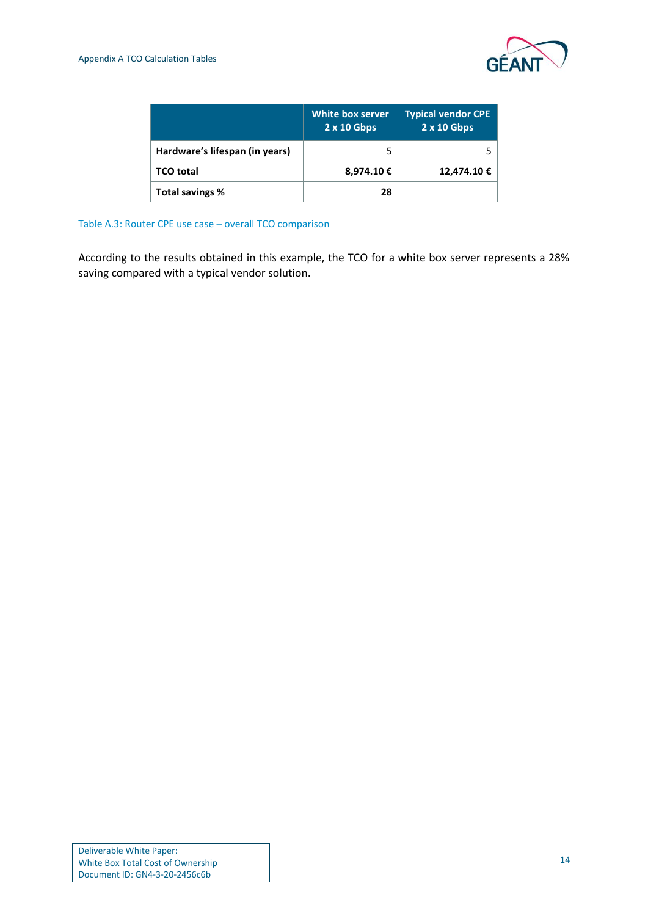

|                                | White box server<br>$2 \times 10$ Gbps | <b>Typical vendor CPE</b><br>$2 \times 10$ Gbps |
|--------------------------------|----------------------------------------|-------------------------------------------------|
| Hardware's lifespan (in years) |                                        |                                                 |
| TCO total                      | 8,974.10€                              | 12,474.10 €                                     |
| Total savings %                | 28                                     |                                                 |

<span id="page-15-0"></span>Table A.3: Router CPE use case – overall TCO comparison

According to the results obtained in this example, the TCO for a white box server represents a 28% saving compared with a typical vendor solution.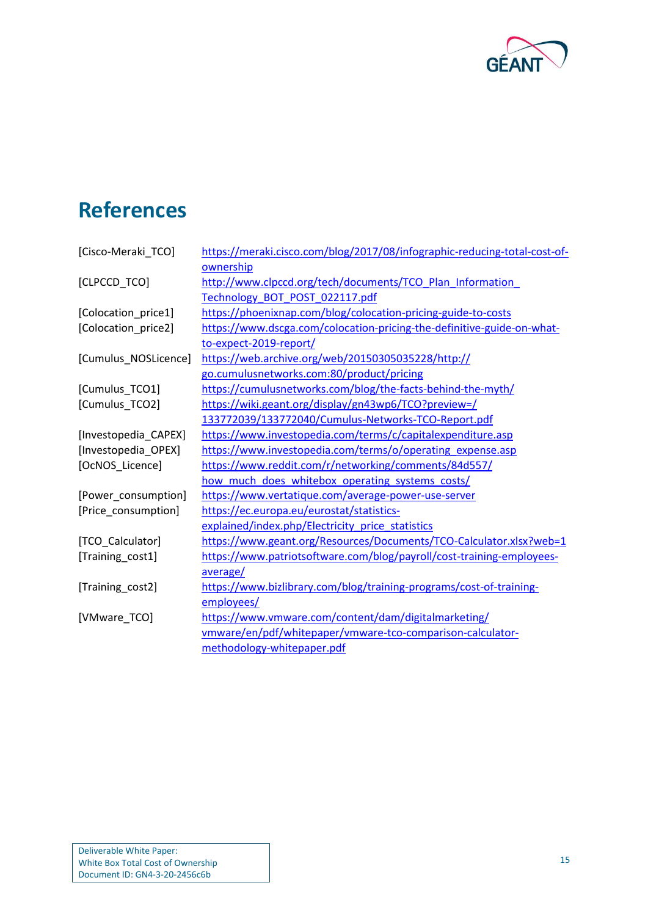

# <span id="page-16-0"></span>**References**

<span id="page-16-16"></span><span id="page-16-15"></span><span id="page-16-14"></span><span id="page-16-13"></span><span id="page-16-12"></span><span id="page-16-11"></span><span id="page-16-10"></span><span id="page-16-9"></span><span id="page-16-8"></span><span id="page-16-7"></span><span id="page-16-6"></span><span id="page-16-5"></span><span id="page-16-4"></span><span id="page-16-3"></span><span id="page-16-2"></span><span id="page-16-1"></span>

| [Cisco-Meraki_TCO]   | https://meraki.cisco.com/blog/2017/08/infographic-reducing-total-cost-of- |
|----------------------|---------------------------------------------------------------------------|
|                      | ownership                                                                 |
| [CLPCCD_TCO]         | http://www.clpccd.org/tech/documents/TCO Plan Information                 |
|                      | Technology BOT POST 022117.pdf                                            |
| [Colocation_price1]  | https://phoenixnap.com/blog/colocation-pricing-guide-to-costs             |
| [Colocation_price2]  | https://www.dscga.com/colocation-pricing-the-definitive-guide-on-what-    |
|                      | to-expect-2019-report/                                                    |
| [Cumulus_NOSLicence] | https://web.archive.org/web/20150305035228/http://                        |
|                      | go.cumulusnetworks.com:80/product/pricing                                 |
| [Cumulus_TCO1]       | https://cumulusnetworks.com/blog/the-facts-behind-the-myth/               |
| [Cumulus_TCO2]       | https://wiki.geant.org/display/gn43wp6/TCO?preview=/                      |
|                      | 133772039/133772040/Cumulus-Networks-TCO-Report.pdf                       |
| [Investopedia_CAPEX] | https://www.investopedia.com/terms/c/capitalexpenditure.asp               |
| [Investopedia_OPEX]  | https://www.investopedia.com/terms/o/operating expense.asp                |
| [OcNOS Licence]      | https://www.reddit.com/r/networking/comments/84d557/                      |
|                      | how much does whitebox operating systems costs/                           |
| [Power_consumption]  | https://www.vertatique.com/average-power-use-server                       |
| [Price_consumption]  | https://ec.europa.eu/eurostat/statistics-                                 |
|                      | explained/index.php/Electricity price statistics                          |
| [TCO Calculator]     | https://www.geant.org/Resources/Documents/TCO-Calculator.xlsx?web=1       |
| [Training_cost1]     | https://www.patriotsoftware.com/blog/payroll/cost-training-employees-     |
|                      | average/                                                                  |
| [Training_cost2]     | https://www.bizlibrary.com/blog/training-programs/cost-of-training-       |
|                      | employees/                                                                |
| [VMware TCO]         | https://www.vmware.com/content/dam/digitalmarketing/                      |
|                      | vmware/en/pdf/whitepaper/vmware-tco-comparison-calculator-                |
|                      | methodology-whitepaper.pdf                                                |
|                      |                                                                           |